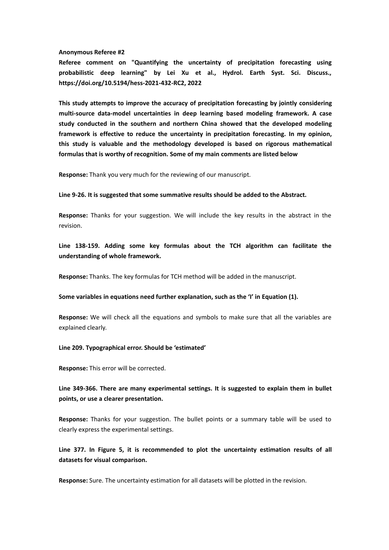## **Anonymous Referee #2**

**Referee comment on "Quantifying the uncertainty of precipitation forecasting using probabilistic deep learning" by Lei Xu et al., Hydrol. Earth Syst. Sci. Discuss., https://doi.org/10.5194/hess-2021-432-RC2, 2022**

**This study attempts to improve the accuracy of precipitation forecasting by jointly considering multi-source data-model uncertainties in deep learning based modeling framework. A case study conducted in the southern and northern China showed that the developed modeling framework is effective to reduce the uncertainty in precipitation forecasting. In my opinion, this study is valuable and the methodology developed is based on rigorous mathematical formulas that is worthy of recognition. Some of my main comments are listed below**

**Response:** Thank you very much for the reviewing of our manuscript.

**Line 9-26. It is suggested that some summative results should be added to the Abstract.**

**Response:** Thanks for your suggestion. We will include the key results in the abstract in the revision.

**Line 138-159. Adding some key formulas about the TCH algorithm can facilitate the understanding of whole framework.**

**Response:** Thanks. The key formulas for TCH method will be added in the manuscript.

**Some variables in equations need further explanation, such as the 'I'in Equation (1).**

**Response:** We will check all the equations and symbols to make sure that all the variables are explained clearly.

## **Line 209. Typographical error. Should be 'estimated'**

**Response:** This error will be corrected.

**Line 349-366. There are many experimental settings. It is suggested to explain them in bullet points, or use a clearer presentation.**

**Response:** Thanks for your suggestion. The bullet points or a summary table will be used to clearly express the experimental settings.

**Line 377. In Figure 5, it is recommended to plot the uncertainty estimation results of all datasets for visual comparison.**

**Response:** Sure. The uncertainty estimation for all datasets will be plotted in the revision.